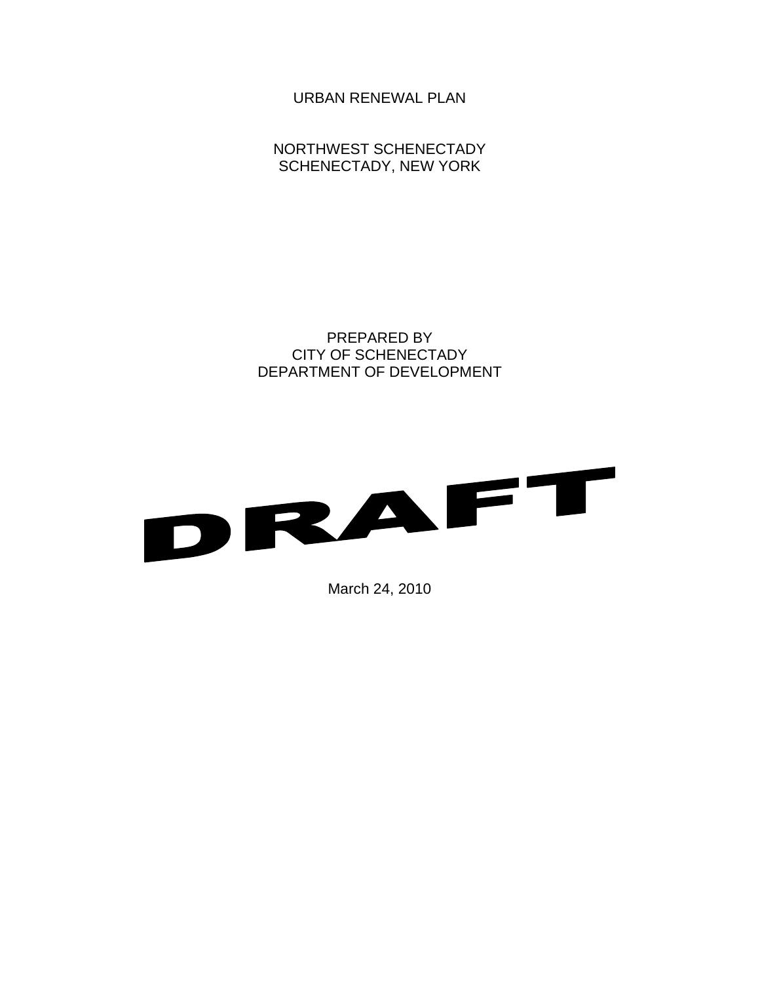URBAN RENEWAL PLAN

NORTHWEST SCHENECTADY SCHENECTADY, NEW YORK

PREPARED BY CITY OF SCHENECTADY DEPARTMENT OF DEVELOPMENT



March 24, 2010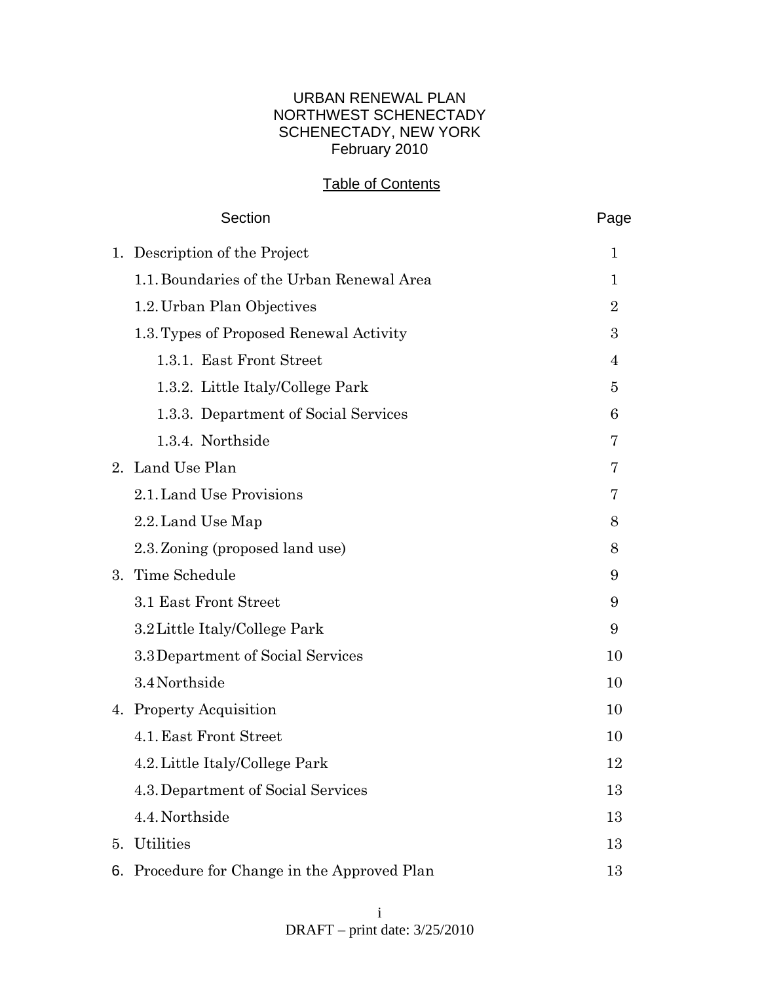## URBAN RENEWAL PLAN NORTHWEST SCHENECTADY SCHENECTADY, NEW YORK February 2010

## Table of Contents

|    | Section                                      | Page           |
|----|----------------------------------------------|----------------|
| 1. | Description of the Project                   | 1              |
|    | 1.1. Boundaries of the Urban Renewal Area    | 1              |
|    | 1.2. Urban Plan Objectives                   | $\overline{2}$ |
|    | 1.3. Types of Proposed Renewal Activity      | 3              |
|    | 1.3.1. East Front Street                     | $\overline{4}$ |
|    | 1.3.2. Little Italy/College Park             | 5              |
|    | 1.3.3. Department of Social Services         | 6              |
|    | 1.3.4. Northside                             | 7              |
|    | 2. Land Use Plan                             | 7              |
|    | 2.1. Land Use Provisions                     | 7              |
|    | 2.2. Land Use Map                            | 8              |
|    | 2.3. Zoning (proposed land use)              | 8              |
| 3. | Time Schedule                                | 9              |
|    | 3.1 East Front Street                        | 9              |
|    | 3.2 Little Italy/College Park                | 9              |
|    | 3.3 Department of Social Services            | 10             |
|    | 3.4 Northside                                | 10             |
|    | 4. Property Acquisition                      | 10             |
|    | 4.1. East Front Street                       | 10             |
|    | 4.2. Little Italy/College Park               | 12             |
|    | 4.3. Department of Social Services           | 13             |
|    | 4.4. Northside                               | 13             |
| 5. | Utilities                                    | 13             |
|    | 6. Procedure for Change in the Approved Plan | 13             |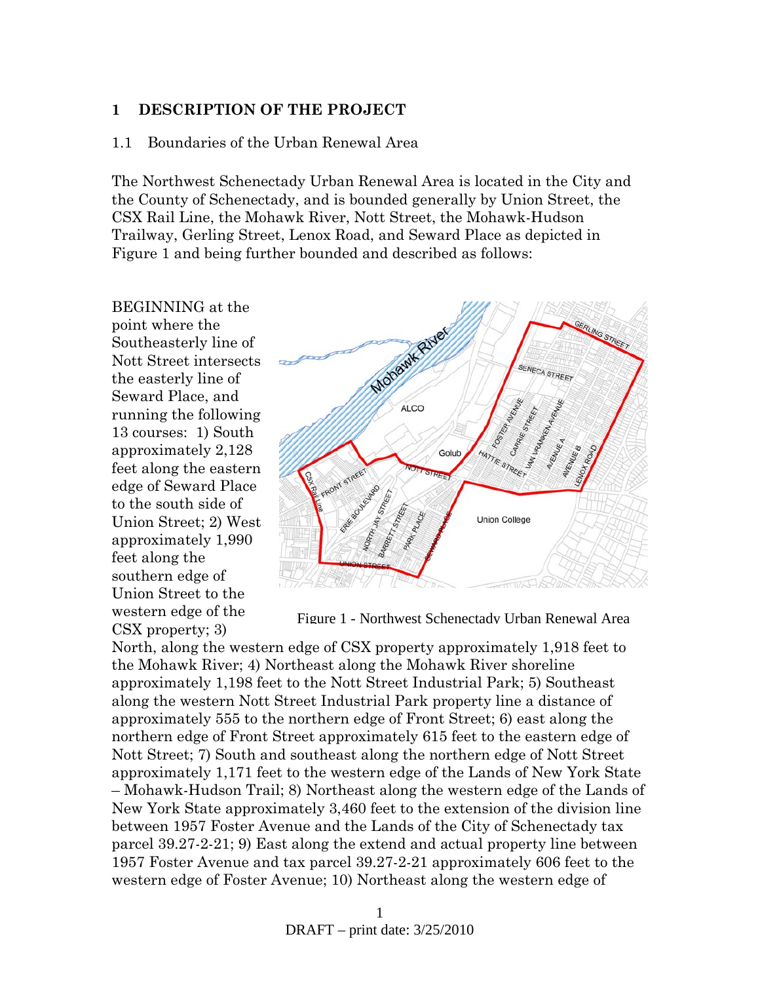### **1 DESCRIPTION OF THE PROJECT**

### 1.1 Boundaries of the Urban Renewal Area

The Northwest Schenectady Urban Renewal Area is located in the City and the County of Schenectady, and is bounded generally by Union Street, the CSX Rail Line, the Mohawk River, Nott Street, the Mohawk-Hudson Trailway, Gerling Street, Lenox Road, and Seward Place as depicted in Figure 1 and being further bounded and described as follows:

BEGINNING at the point where the Southeasterly line of Nott Street intersects the easterly line of Seward Place, and running the following 13 courses: 1) South approximately 2,128 feet along the eastern edge of Seward Place to the south side of Union Street; 2) West approximately 1,990 feet along the southern edge of Union Street to the western edge of the CSX property; 3)



Figure 1 - Northwest Schenectady Urban Renewal Area

North, along the western edge of CSX property approximately 1,918 feet to the Mohawk River; 4) Northeast along the Mohawk River shoreline approximately 1,198 feet to the Nott Street Industrial Park; 5) Southeast along the western Nott Street Industrial Park property line a distance of approximately 555 to the northern edge of Front Street; 6) east along the northern edge of Front Street approximately 615 feet to the eastern edge of Nott Street; 7) South and southeast along the northern edge of Nott Street approximately 1,171 feet to the western edge of the Lands of New York State – Mohawk-Hudson Trail; 8) Northeast along the western edge of the Lands of New York State approximately 3,460 feet to the extension of the division line between 1957 Foster Avenue and the Lands of the City of Schenectady tax parcel 39.27-2-21; 9) East along the extend and actual property line between 1957 Foster Avenue and tax parcel 39.27-2-21 approximately 606 feet to the western edge of Foster Avenue; 10) Northeast along the western edge of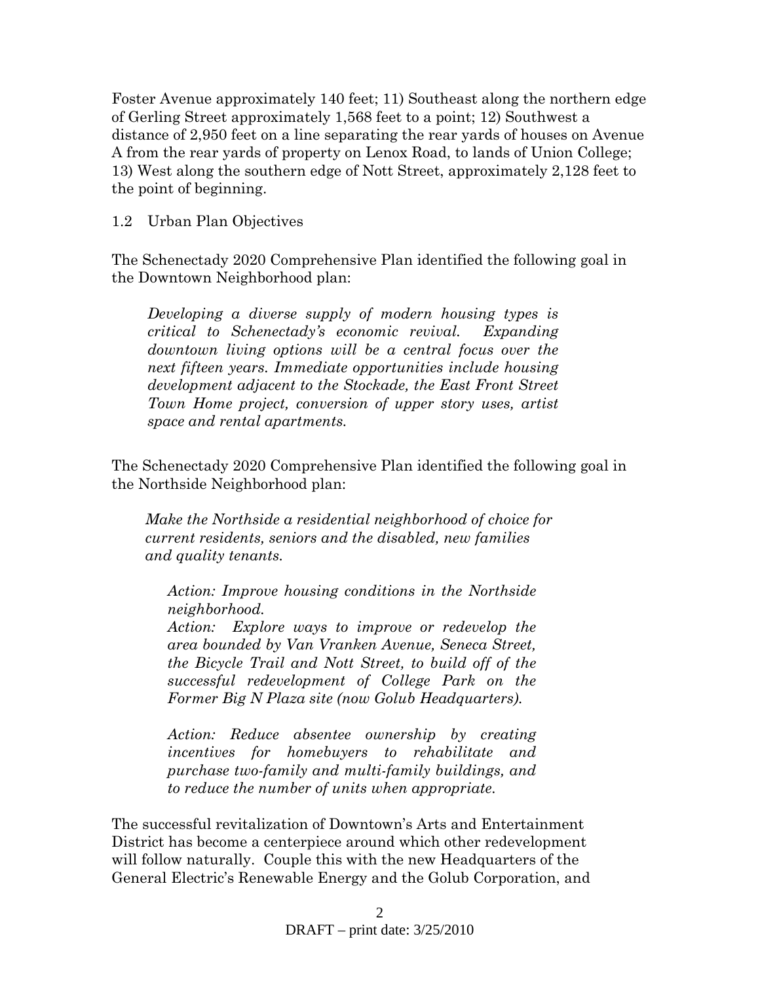Foster Avenue approximately 140 feet; 11) Southeast along the northern edge of Gerling Street approximately 1,568 feet to a point; 12) Southwest a distance of 2,950 feet on a line separating the rear yards of houses on Avenue A from the rear yards of property on Lenox Road, to lands of Union College; 13) West along the southern edge of Nott Street, approximately 2,128 feet to the point of beginning.

## 1.2 Urban Plan Objectives

The Schenectady 2020 Comprehensive Plan identified the following goal in the Downtown Neighborhood plan:

*Developing a diverse supply of modern housing types is critical to Schenectady's economic revival. Expanding downtown living options will be a central focus over the next fifteen years. Immediate opportunities include housing development adjacent to the Stockade, the East Front Street Town Home project, conversion of upper story uses, artist space and rental apartments.* 

The Schenectady 2020 Comprehensive Plan identified the following goal in the Northside Neighborhood plan:

*Make the Northside a residential neighborhood of choice for current residents, seniors and the disabled, new families and quality tenants.* 

*Action: Improve housing conditions in the Northside neighborhood.* 

*Action: Explore ways to improve or redevelop the area bounded by Van Vranken Avenue, Seneca Street, the Bicycle Trail and Nott Street, to build off of the successful redevelopment of College Park on the Former Big N Plaza site (now Golub Headquarters).* 

*Action: Reduce absentee ownership by creating incentives for homebuyers to rehabilitate and purchase two-family and multi-family buildings, and to reduce the number of units when appropriate.* 

The successful revitalization of Downtown's Arts and Entertainment District has become a centerpiece around which other redevelopment will follow naturally. Couple this with the new Headquarters of the General Electric's Renewable Energy and the Golub Corporation, and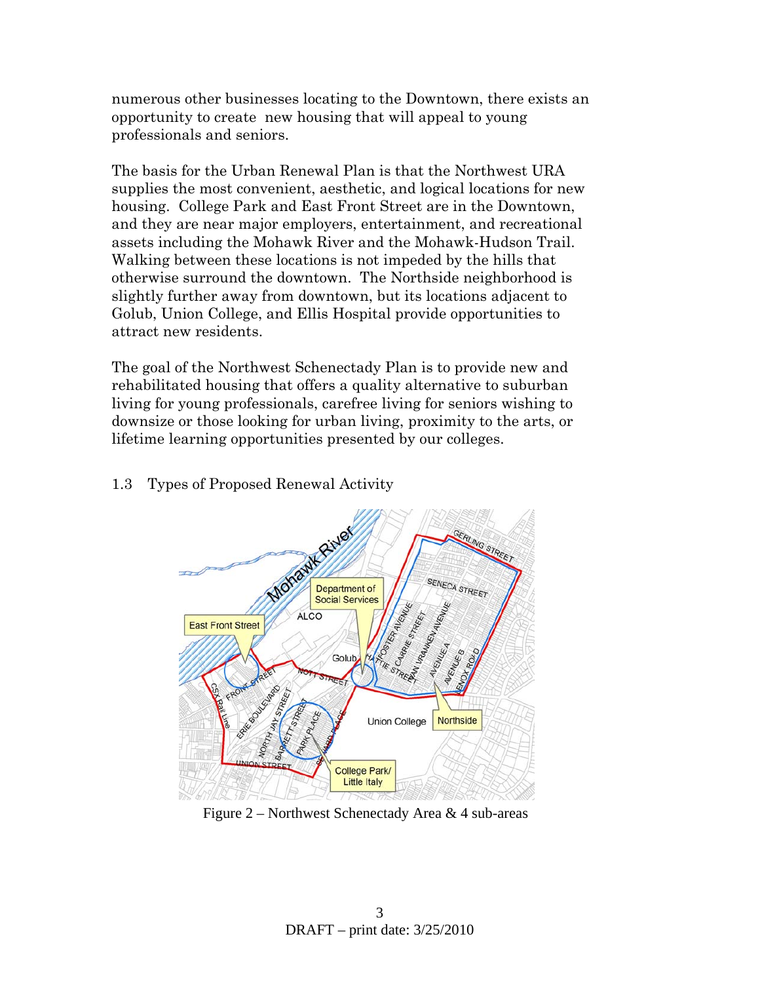numerous other businesses locating to the Downtown, there exists an opportunity to create new housing that will appeal to young professionals and seniors.

The basis for the Urban Renewal Plan is that the Northwest URA supplies the most convenient, aesthetic, and logical locations for new housing. College Park and East Front Street are in the Downtown, and they are near major employers, entertainment, and recreational assets including the Mohawk River and the Mohawk-Hudson Trail. Walking between these locations is not impeded by the hills that otherwise surround the downtown. The Northside neighborhood is slightly further away from downtown, but its locations adjacent to Golub, Union College, and Ellis Hospital provide opportunities to attract new residents.

The goal of the Northwest Schenectady Plan is to provide new and rehabilitated housing that offers a quality alternative to suburban living for young professionals, carefree living for seniors wishing to downsize or those looking for urban living, proximity to the arts, or lifetime learning opportunities presented by our colleges.

## 1.3 Types of Proposed Renewal Activity



Figure 2 – Northwest Schenectady Area & 4 sub-areas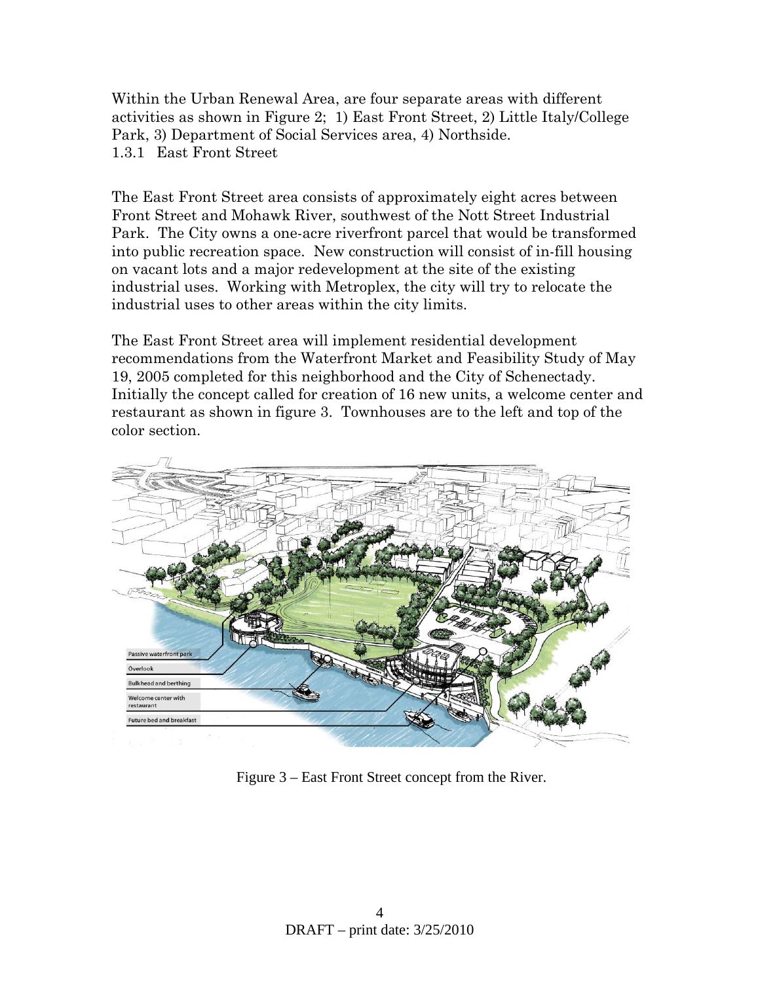Within the Urban Renewal Area, are four separate areas with different activities as shown in Figure 2; 1) East Front Street, 2) Little Italy/College Park, 3) Department of Social Services area, 4) Northside. 1.3.1 East Front Street

The East Front Street area consists of approximately eight acres between Front Street and Mohawk River, southwest of the Nott Street Industrial Park. The City owns a one-acre riverfront parcel that would be transformed into public recreation space. New construction will consist of in-fill housing on vacant lots and a major redevelopment at the site of the existing industrial uses. Working with Metroplex, the city will try to relocate the industrial uses to other areas within the city limits.

The East Front Street area will implement residential development recommendations from the Waterfront Market and Feasibility Study of May 19, 2005 completed for this neighborhood and the City of Schenectady. Initially the concept called for creation of 16 new units, a welcome center and restaurant as shown in figure 3. Townhouses are to the left and top of the color section.



Figure 3 – East Front Street concept from the River.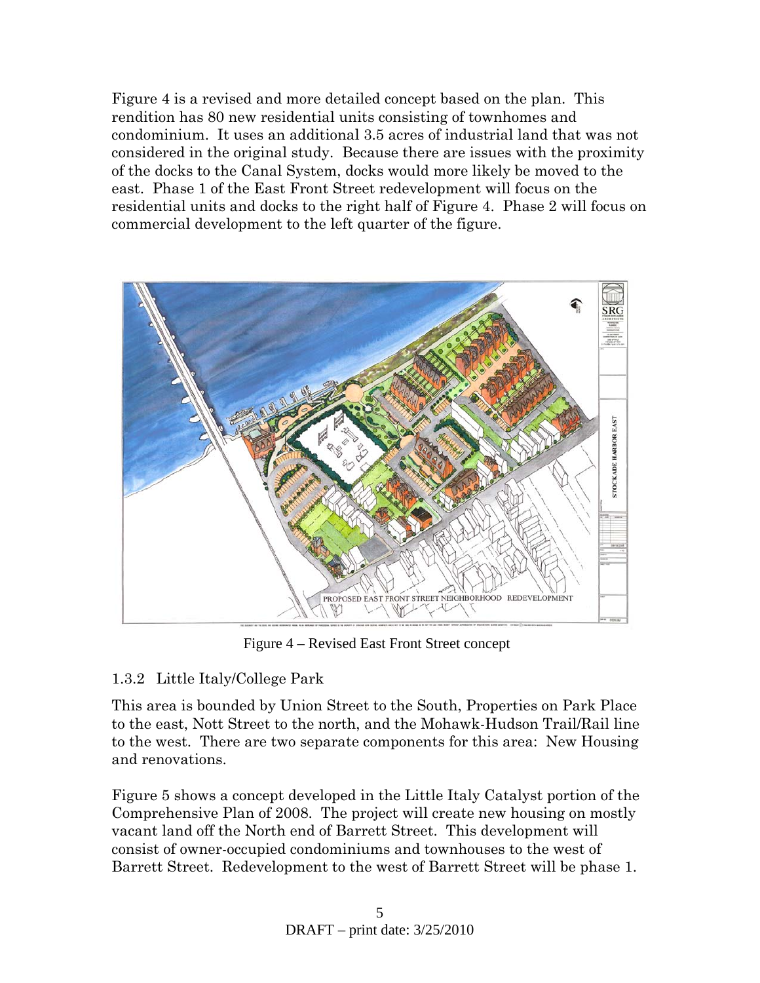Figure 4 is a revised and more detailed concept based on the plan. This rendition has 80 new residential units consisting of townhomes and condominium. It uses an additional 3.5 acres of industrial land that was not considered in the original study. Because there are issues with the proximity of the docks to the Canal System, docks would more likely be moved to the east. Phase 1 of the East Front Street redevelopment will focus on the residential units and docks to the right half of Figure 4. Phase 2 will focus on commercial development to the left quarter of the figure.



Figure 4 – Revised East Front Street concept

# 1.3.2 Little Italy/College Park

This area is bounded by Union Street to the South, Properties on Park Place to the east, Nott Street to the north, and the Mohawk-Hudson Trail/Rail line to the west. There are two separate components for this area: New Housing and renovations.

Figure 5 shows a concept developed in the Little Italy Catalyst portion of the Comprehensive Plan of 2008. The project will create new housing on mostly vacant land off the North end of Barrett Street. This development will consist of owner-occupied condominiums and townhouses to the west of Barrett Street. Redevelopment to the west of Barrett Street will be phase 1.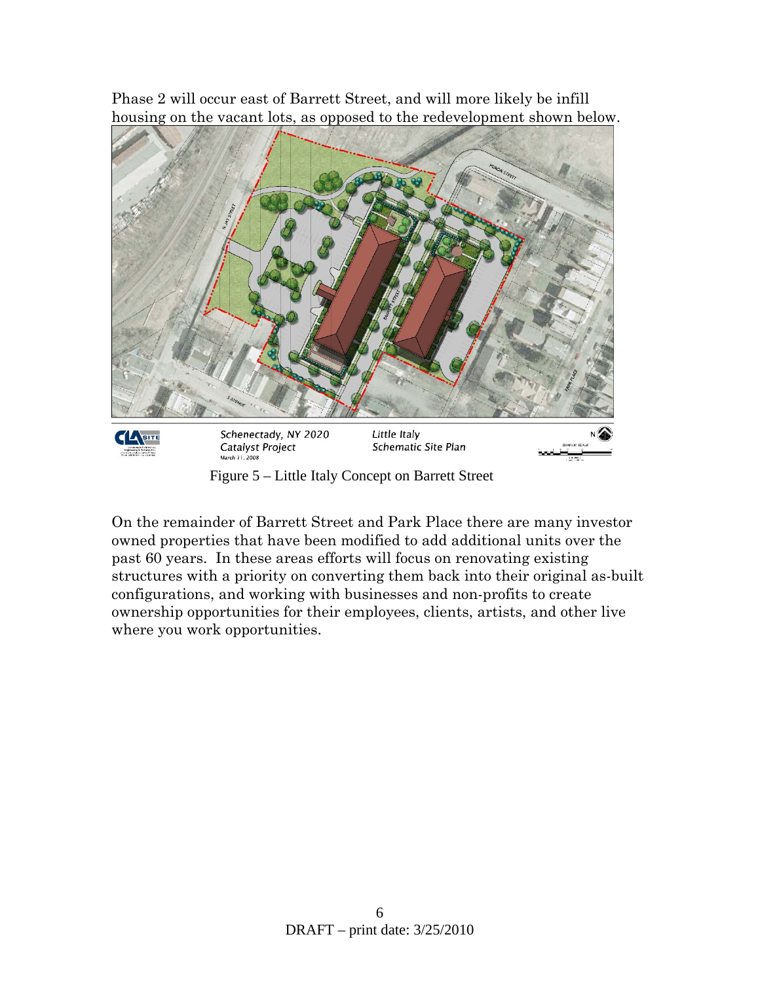Phase 2 will occur east of Barrett Street, and will more likely be infill housing on the vacant lots, as opposed to the redevelopment shown below.



Figure 5 – Little Italy Concept on Barrett Street

On the remainder of Barrett Street and Park Place there are many investor owned properties that have been modified to add additional units over the past 60 years. In these areas efforts will focus on renovating existing structures with a priority on converting them back into their original as-built configurations, and working with businesses and non-profits to create ownership opportunities for their employees, clients, artists, and other live where you work opportunities.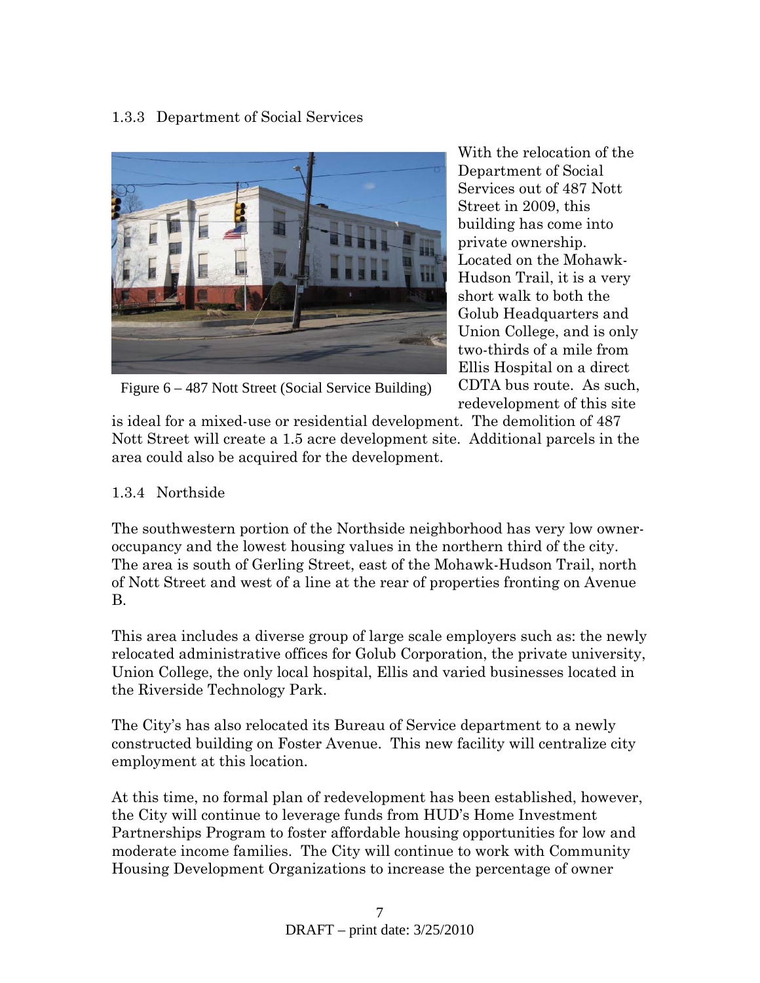# 1.3.3 Department of Social Services



Figure 6 – 487 Nott Street (Social Service Building)

With the relocation of the Department of Social Services out of 487 Nott Street in 2009, this building has come into private ownership. Located on the Mohawk-Hudson Trail, it is a very short walk to both the Golub Headquarters and Union College, and is only two-thirds of a mile from Ellis Hospital on a direct CDTA bus route. As such, redevelopment of this site

is ideal for a mixed-use or residential development. The demolition of 487 Nott Street will create a 1.5 acre development site. Additional parcels in the area could also be acquired for the development.

# 1.3.4 Northside

The southwestern portion of the Northside neighborhood has very low owneroccupancy and the lowest housing values in the northern third of the city. The area is south of Gerling Street, east of the Mohawk-Hudson Trail, north of Nott Street and west of a line at the rear of properties fronting on Avenue B.

This area includes a diverse group of large scale employers such as: the newly relocated administrative offices for Golub Corporation, the private university, Union College, the only local hospital, Ellis and varied businesses located in the Riverside Technology Park.

The City's has also relocated its Bureau of Service department to a newly constructed building on Foster Avenue. This new facility will centralize city employment at this location.

At this time, no formal plan of redevelopment has been established, however, the City will continue to leverage funds from HUD's Home Investment Partnerships Program to foster affordable housing opportunities for low and moderate income families. The City will continue to work with Community Housing Development Organizations to increase the percentage of owner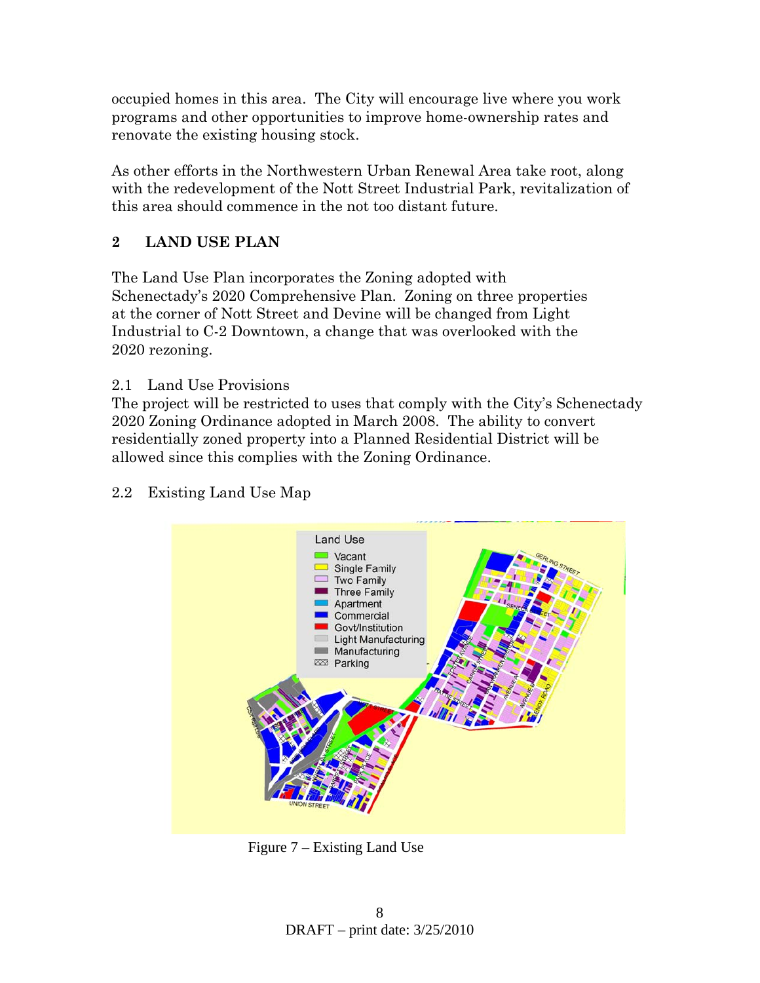occupied homes in this area. The City will encourage live where you work programs and other opportunities to improve home-ownership rates and renovate the existing housing stock.

As other efforts in the Northwestern Urban Renewal Area take root, along with the redevelopment of the Nott Street Industrial Park, revitalization of this area should commence in the not too distant future.

# **2 LAND USE PLAN**

The Land Use Plan incorporates the Zoning adopted with Schenectady's 2020 Comprehensive Plan. Zoning on three properties at the corner of Nott Street and Devine will be changed from Light Industrial to C-2 Downtown, a change that was overlooked with the 2020 rezoning.

2.1 Land Use Provisions

The project will be restricted to uses that comply with the City's Schenectady 2020 Zoning Ordinance adopted in March 2008. The ability to convert residentially zoned property into a Planned Residential District will be allowed since this complies with the Zoning Ordinance.



# 2.2 Existing Land Use Map

Figure 7 – Existing Land Use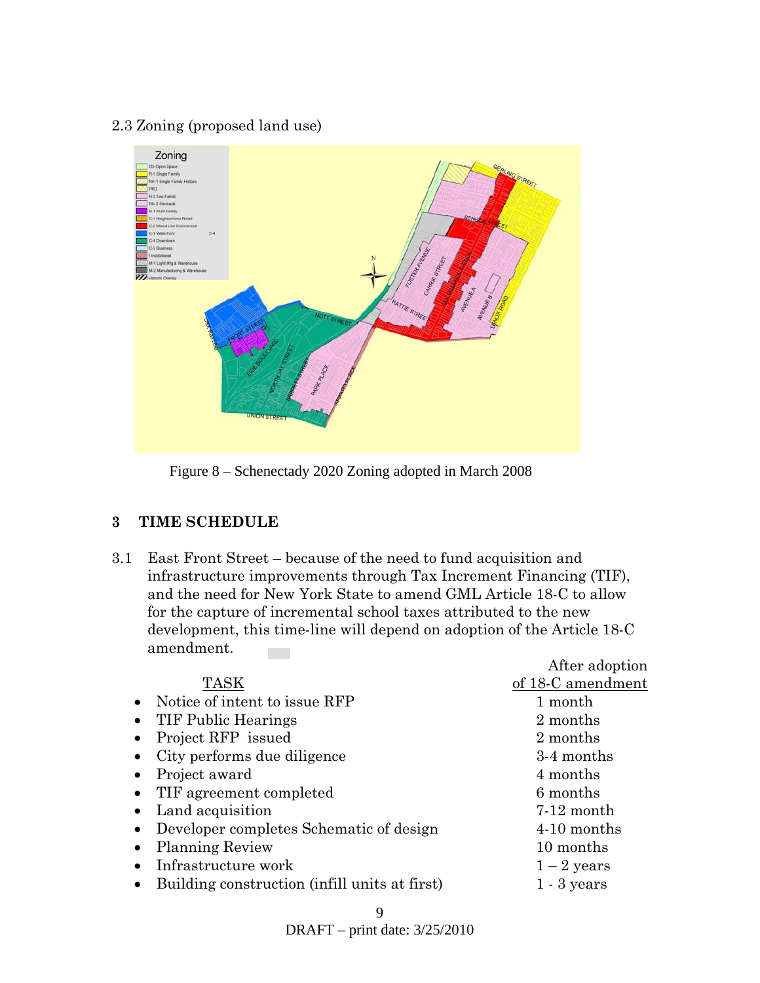## 2.3 Zoning (proposed land use)



Figure 8 – Schenectady 2020 Zoning adopted in March 2008

## **3 TIME SCHEDULE**

3.1 East Front Street – because of the need to fund acquisition and infrastructure improvements through Tax Increment Financing (TIF), and the need for New York State to amend GML Article 18-C to allow for the capture of incremental school taxes attributed to the new development, this time-line will depend on adoption of the Article 18-C amendment. **Contract** 

After adoption

|                                                            | $1.1\text{C}$ and $\rho$ and $1.1\text{C}$ |
|------------------------------------------------------------|--------------------------------------------|
| <b>TASK</b>                                                | of 18-C amendment                          |
| • Notice of intent to issue RFP                            | 1 month                                    |
| TIF Public Hearings<br>$\bullet$                           | 2 months                                   |
| Project RFP issued                                         | 2 months                                   |
| City performs due diligence<br>$\bullet$                   | 3-4 months                                 |
| Project award                                              | 4 months                                   |
| • TIF agreement completed                                  | 6 months                                   |
| • Land acquisition                                         | $7-12$ month                               |
| • Developer completes Schematic of design                  | 4-10 months                                |
| <b>Planning Review</b>                                     | 10 months                                  |
| Infrastructure work                                        | $1-2$ years                                |
| Building construction (infill units at first)<br>$\bullet$ | $1 - 3$ years                              |
|                                                            |                                            |

DRAFT – print date: 3/25/2010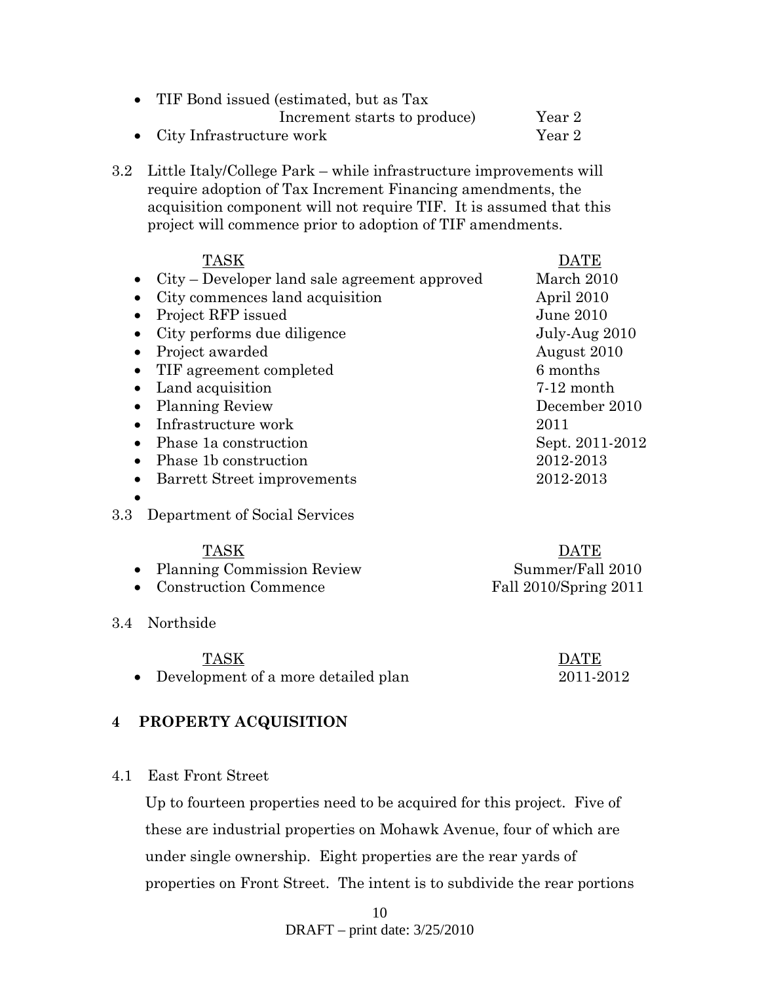| • TIF Bond issued (estimated, but as Tax |        |
|------------------------------------------|--------|
| Increment starts to produce)             | Year 2 |
| • City Infrastructure work               | Year 2 |

3.2 Little Italy/College Park – while infrastructure improvements will require adoption of Tax Increment Financing amendments, the acquisition component will not require TIF. It is assumed that this project will commence prior to adoption of TIF amendments.

| TASK                                          |                 |
|-----------------------------------------------|-----------------|
| City – Developer land sale agreement approved | March 2010      |
| City commences land acquisition               | April 2010      |
| Project RFP issued                            | June $2010$     |
| City performs due diligence                   | July-Aug 2010   |
| Project awarded                               | August 2010     |
| TIF agreement completed                       | 6 months        |
| Land acquisition                              | $7-12$ month    |
| <b>Planning Review</b>                        | December 2010   |
| Infrastructure work                           | 2011            |
| Phase 1a construction                         | Sept. 2011-2012 |
| Phase 1b construction                         | 2012-2013       |
| Barrett Street improvements                   | 2012-2013       |
|                                               |                 |

### 3.3 Department of Social Services

| TASK                         | <b>DATE</b>           |
|------------------------------|-----------------------|
| • Planning Commission Review | Summer/Fall 2010      |
| • Construction Commence      | Fall 2010/Spring 2011 |

3.4 Northside

- TASK DATE
- Development of a more detailed plan 2011-2012

# **4 PROPERTY ACQUISITION**

4.1 East Front Street

Up to fourteen properties need to be acquired for this project. Five of these are industrial properties on Mohawk Avenue, four of which are under single ownership. Eight properties are the rear yards of properties on Front Street. The intent is to subdivide the rear portions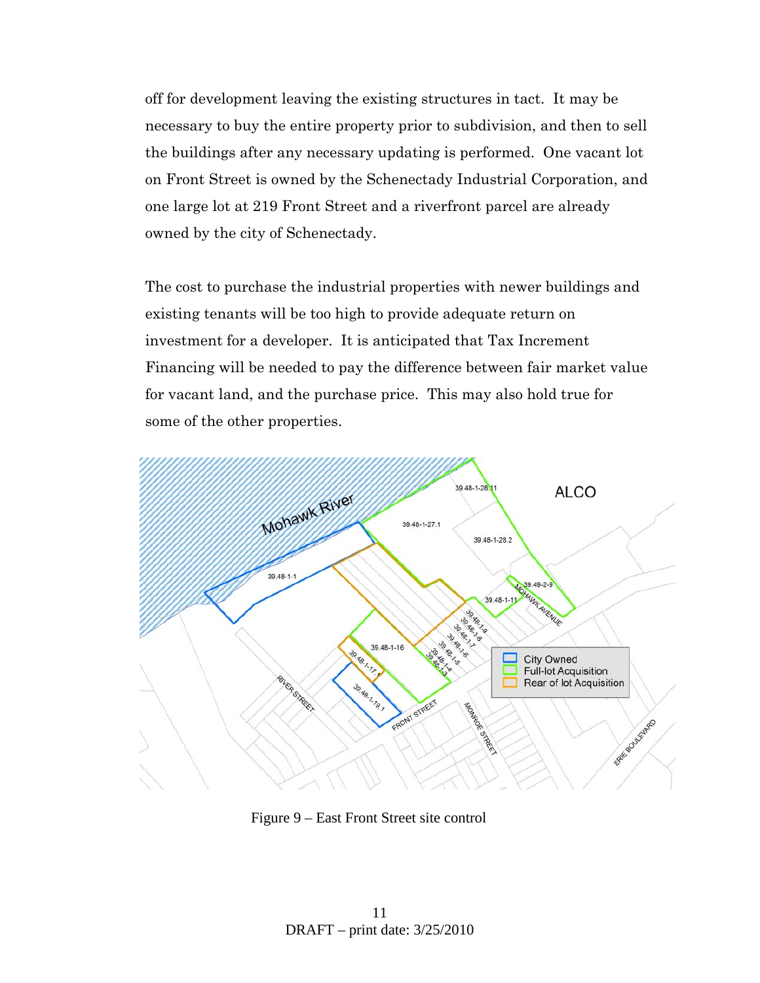off for development leaving the existing structures in tact. It may be necessary to buy the entire property prior to subdivision, and then to sell the buildings after any necessary updating is performed. One vacant lot on Front Street is owned by the Schenectady Industrial Corporation, and one large lot at 219 Front Street and a riverfront parcel are already owned by the city of Schenectady.

The cost to purchase the industrial properties with newer buildings and existing tenants will be too high to provide adequate return on investment for a developer. It is anticipated that Tax Increment Financing will be needed to pay the difference between fair market value for vacant land, and the purchase price. This may also hold true for some of the other properties.



Figure 9 – East Front Street site control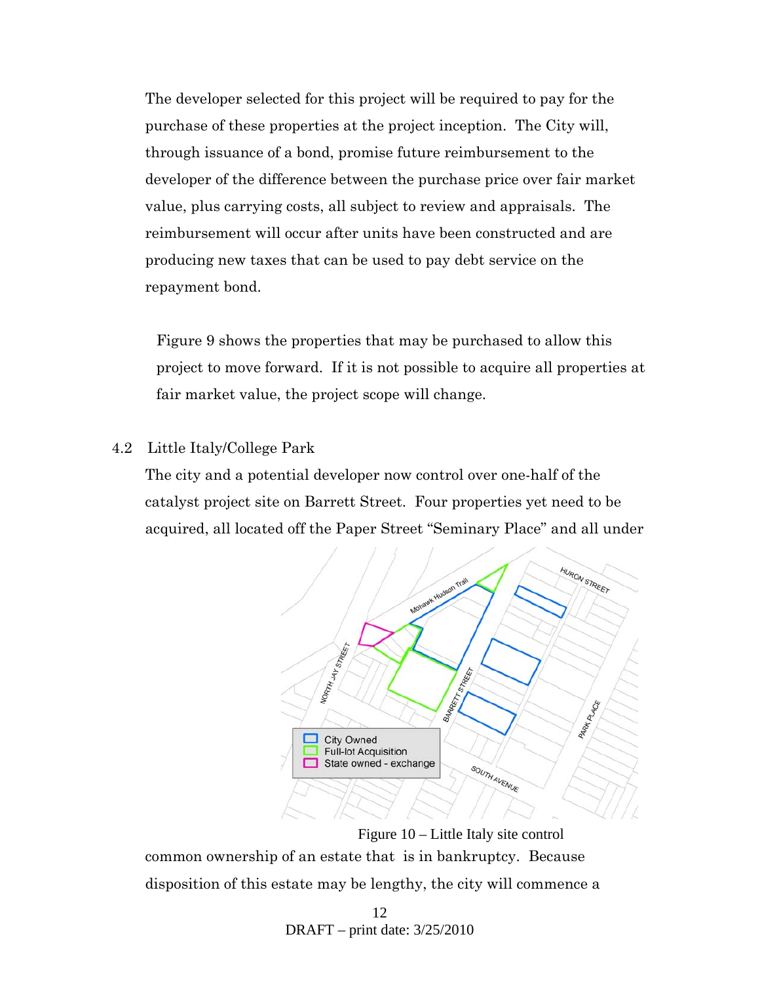The developer selected for this project will be required to pay for the purchase of these properties at the project inception. The City will, through issuance of a bond, promise future reimbursement to the developer of the difference between the purchase price over fair market value, plus carrying costs, all subject to review and appraisals. The reimbursement will occur after units have been constructed and are producing new taxes that can be used to pay debt service on the repayment bond.

Figure 9 shows the properties that may be purchased to allow this project to move forward. If it is not possible to acquire all properties at fair market value, the project scope will change.

#### 4.2 Little Italy/College Park

The city and a potential developer now control over one-half of the catalyst project site on Barrett Street. Four properties yet need to be acquired, all located off the Paper Street "Seminary Place" and all under



common ownership of an estate that is in bankruptcy. Because disposition of this estate may be lengthy, the city will commence a Figure 10 – Little Italy site control

> 12 DRAFT – print date: 3/25/2010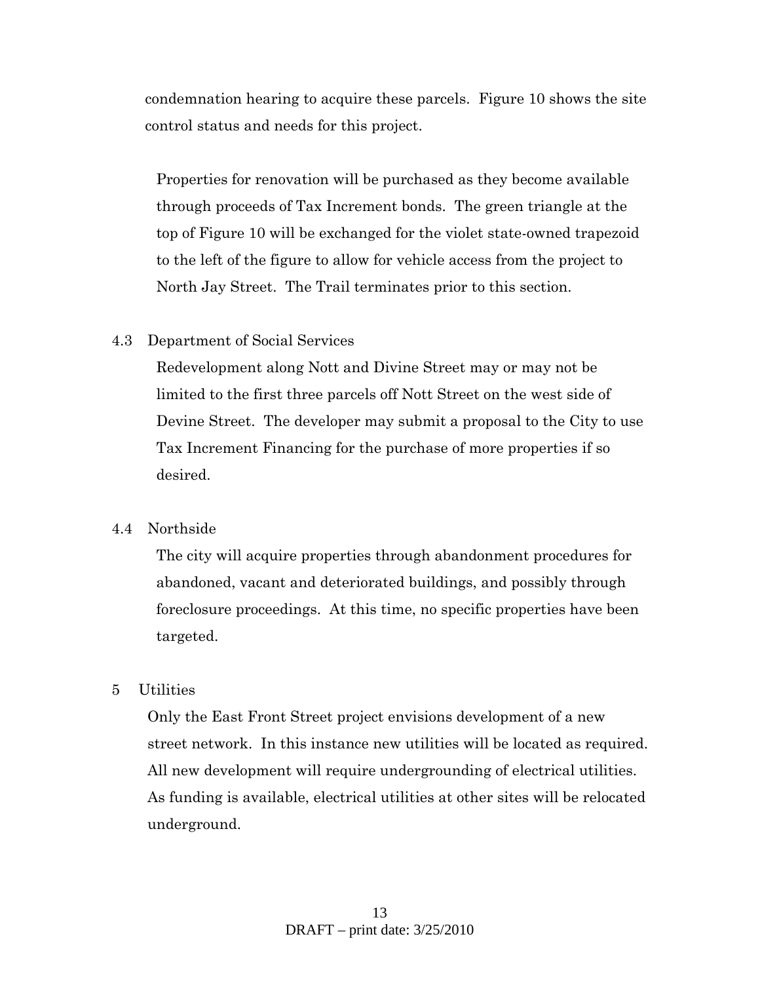condemnation hearing to acquire these parcels. Figure 10 shows the site control status and needs for this project.

Properties for renovation will be purchased as they become available through proceeds of Tax Increment bonds. The green triangle at the top of Figure 10 will be exchanged for the violet state-owned trapezoid to the left of the figure to allow for vehicle access from the project to North Jay Street. The Trail terminates prior to this section.

### 4.3 Department of Social Services

Redevelopment along Nott and Divine Street may or may not be limited to the first three parcels off Nott Street on the west side of Devine Street. The developer may submit a proposal to the City to use Tax Increment Financing for the purchase of more properties if so desired.

#### 4.4 Northside

The city will acquire properties through abandonment procedures for abandoned, vacant and deteriorated buildings, and possibly through foreclosure proceedings. At this time, no specific properties have been targeted.

### 5 Utilities

Only the East Front Street project envisions development of a new street network. In this instance new utilities will be located as required. All new development will require undergrounding of electrical utilities. As funding is available, electrical utilities at other sites will be relocated underground.